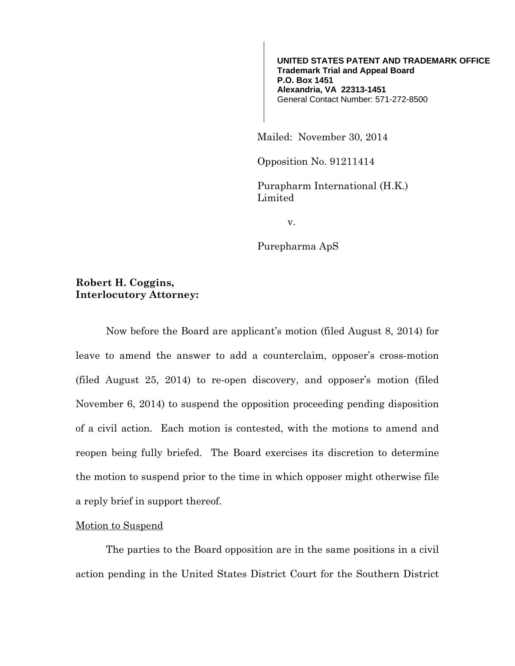**UNITED STATES PATENT AND TRADEMARK OFFICE Trademark Trial and Appeal Board P.O. Box 1451 Alexandria, VA 22313-1451**  General Contact Number: 571-272-8500

Mailed: November 30, 2014

Opposition No. 91211414

Purapharm International (H.K.) Limited

v.

Purepharma ApS

## **Robert H. Coggins, Interlocutory Attorney:**

Now before the Board are applicant's motion (filed August 8, 2014) for leave to amend the answer to add a counterclaim, opposer's cross-motion (filed August 25, 2014) to re-open discovery, and opposer's motion (filed November 6, 2014) to suspend the opposition proceeding pending disposition of a civil action. Each motion is contested, with the motions to amend and reopen being fully briefed. The Board exercises its discretion to determine the motion to suspend prior to the time in which opposer might otherwise file a reply brief in support thereof.

## Motion to Suspend

The parties to the Board opposition are in the same positions in a civil action pending in the United States District Court for the Southern District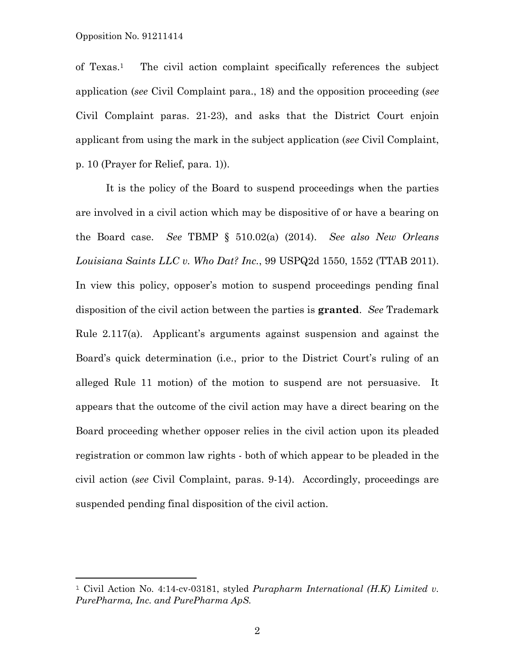of Texas.1 The civil action complaint specifically references the subject application (*see* Civil Complaint para., 18) and the opposition proceeding (*see* Civil Complaint paras. 21-23), and asks that the District Court enjoin applicant from using the mark in the subject application (*see* Civil Complaint, p. 10 (Prayer for Relief, para. 1)).

It is the policy of the Board to suspend proceedings when the parties are involved in a civil action which may be dispositive of or have a bearing on the Board case. *See* TBMP § 510.02(a) (2014). *See also New Orleans Louisiana Saints LLC v. Who Dat? Inc.*, 99 USPQ2d 1550, 1552 (TTAB 2011). In view this policy, opposer's motion to suspend proceedings pending final disposition of the civil action between the parties is **granted**. *See* Trademark Rule 2.117(a). Applicant's arguments against suspension and against the Board's quick determination (i.e., prior to the District Court's ruling of an alleged Rule 11 motion) of the motion to suspend are not persuasive. It appears that the outcome of the civil action may have a direct bearing on the Board proceeding whether opposer relies in the civil action upon its pleaded registration or common law rights - both of which appear to be pleaded in the civil action (*see* Civil Complaint, paras. 9-14). Accordingly, proceedings are suspended pending final disposition of the civil action.

<sup>1</sup> Civil Action No. 4:14-cv-03181, styled *Purapharm International (H.K) Limited v. PurePharma, Inc. and PurePharma ApS.*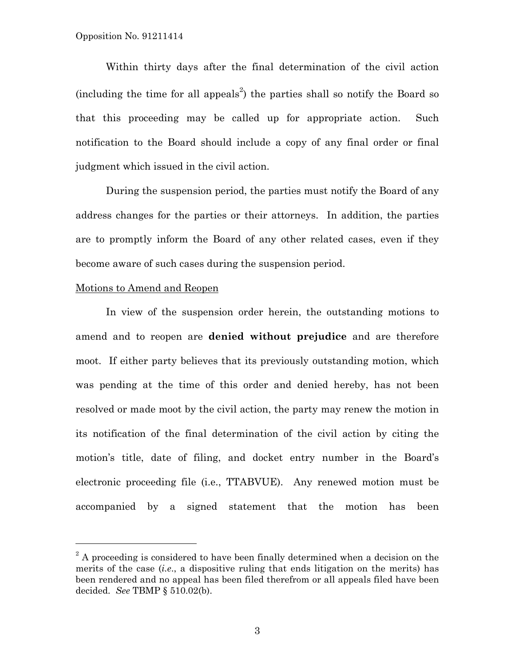Within thirty days after the final determination of the civil action (including the time for all appeals<sup>2</sup>) the parties shall so notify the Board so that this proceeding may be called up for appropriate action. Such notification to the Board should include a copy of any final order or final judgment which issued in the civil action.

During the suspension period, the parties must notify the Board of any address changes for the parties or their attorneys. In addition, the parties are to promptly inform the Board of any other related cases, even if they become aware of such cases during the suspension period.

## Motions to Amend and Reopen

In view of the suspension order herein, the outstanding motions to amend and to reopen are **denied without prejudice** and are therefore moot. If either party believes that its previously outstanding motion, which was pending at the time of this order and denied hereby, has not been resolved or made moot by the civil action, the party may renew the motion in its notification of the final determination of the civil action by citing the motion's title, date of filing, and docket entry number in the Board's electronic proceeding file (i.e., TTABVUE). Any renewed motion must be accompanied by a signed statement that the motion has been

 $2^2$  A proceeding is considered to have been finally determined when a decision on the merits of the case (*i.e*., a dispositive ruling that ends litigation on the merits) has been rendered and no appeal has been filed therefrom or all appeals filed have been decided. *See* TBMP § 510.02(b).